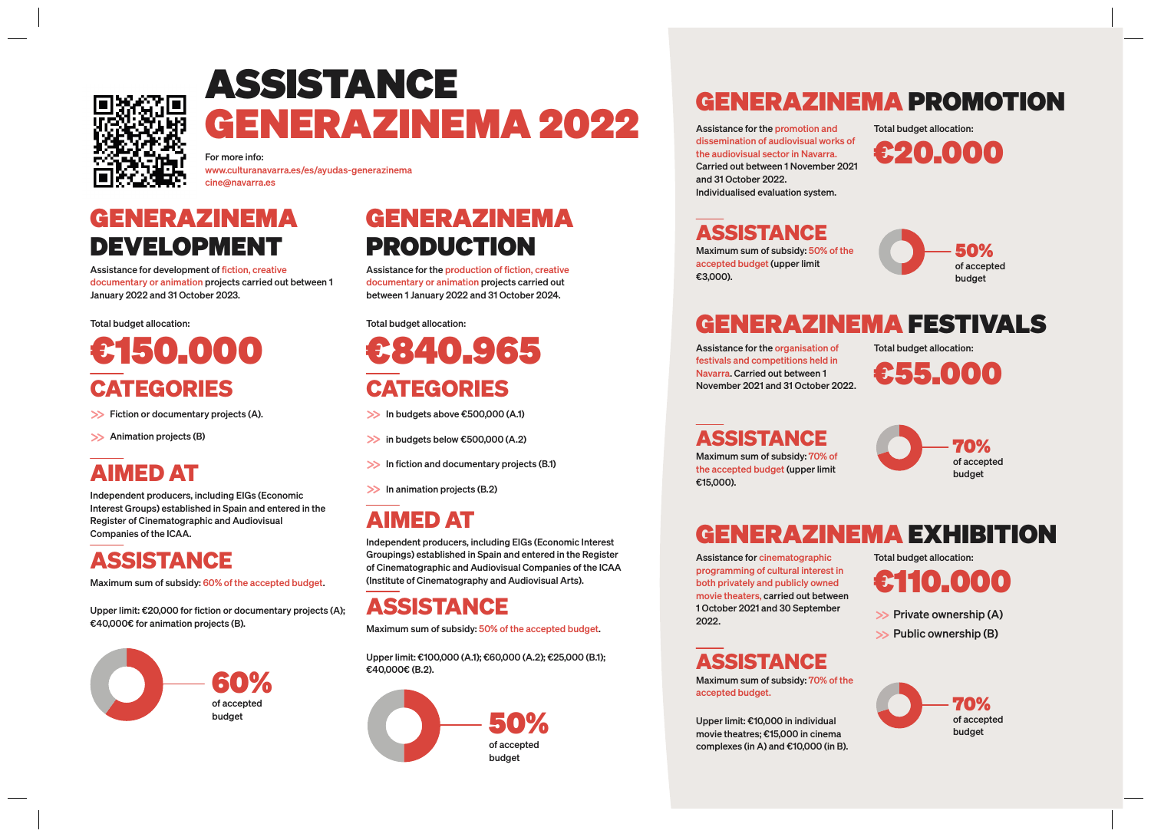

## **ASSISTANCE GENERAZINEMA 2022**

For more info: www.culturanavarra.es/es/ayudas-generazinema cine@navarra.es

## **GENERAZINEMA DEVELOPMENT**

Assistance for development of fiction, creative documentary or animation projects carried out between 1 January 2022 and 31 October 2023.

Total budget allocation:

# **CATEGORIES CATEGORIES**

>> Fiction or documentary projects (A). In budgets above €500,000 (A.1)

>> Animation projects (B)

## **AIMED AT**

Independent producers, including EIGs (Economic Interest Groups) established in Spain and entered in the Register of Cinematographic and Audiovisual Companies of the ICAA.

## **ASSISTANCE**

Maximum sum of subsidy: 60% of the accepted budget.

Upper limit: €20,000 for fiction or documentary projects (A); €40,000€ for animation projects (B). Maximum sum of subsidy: 50% of the accepted budget.



## **GENERAZINEMA PRODUCTION**

Assistance for the production of fiction, creative documentary or animation projects carried out between 1 January 2022 and 31 October 2024.

Total budget allocation:

# **€150.000 €840.965**

- $\gg$  in budgets below  $\epsilon$ 500,000 (A.2)
- >> In fiction and documentary projects (B.1)

 $\gg$  In animation projects (B.2)

## **AIMED AT**

Independent producers, including EIGs (Economic Interest Groupings) established in Spain and entered in the Register of Cinematographic and Audiovisual Companies of the ICAA (Institute of Cinematography and Audiovisual Arts).

#### **ASSISTANCE**

Upper limit: €100,000 (A.1); €60,000 (A.2); €25,000 (B.1); €40,000€ (B.2).



#### **GENERAZINEMA PROMOTION**

Assistance for the promotion and dissemination of audiovisual works of the audiovisual sector in Navarra. Carried out between 1 November 2021 and 31 October 2022. Individualised evaluation system.

Total budget allocation:



**ASSISTANCE**

Maximum sum of subsidy: 50% of the accepted budget (upper limit €3,000).



## **GENERAZINEMA FESTIVALS**

Assistance for the organisation of festivals and competitions held in Navarra. Carried out between 1 November 2021 and 31 October 2022. Total budget allocation:

**€55.000**

Maximum sum of subsidy: 70% of the accepted budget (upper limit €15,000). **ASSISTANCE**



## **GENERAZINEMA EXHIBITION**

Assistance for cinematographic programming of cultural interest in both privately and publicly owned movie theaters, carried out between 1 October 2021 and 30 September 2022.

#### **ASSISTANCE**

Maximum sum of subsidy: 70% of the accepted budget.

Upper limit: €10,000 in individual movie theatres; €15,000 in cinema complexes (in A) and €10,000 (in B). Total budget allocation:

**€110.000**

- $\gg$  Private ownership (A)
- $\gg$  Public ownership (B)